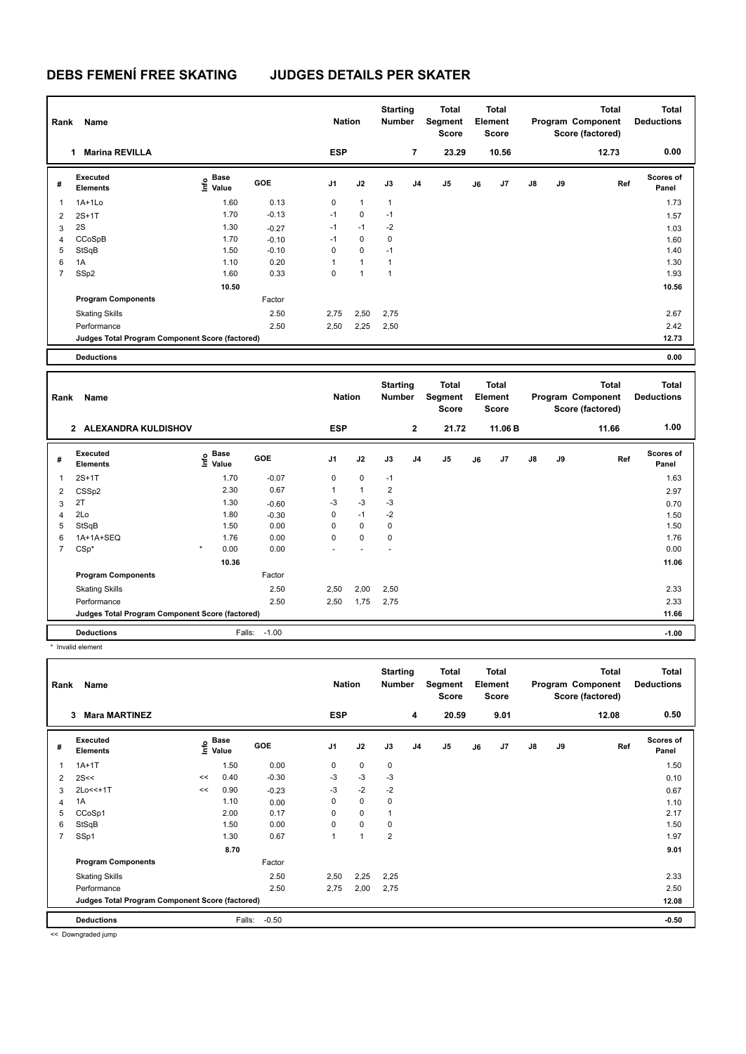## **DEBS FEMENÍ FREE SKATING JUDGES DETAILS PER SKATER**

| Rank           | Name                                            |                              |            | <b>Nation</b>  |              | <b>Starting</b><br><b>Number</b> |                | Total<br>Segment<br>Score               |    | <b>Total</b><br>Element<br><b>Score</b> |    |    | <b>Total</b><br>Program Component<br>Score (factored) | <b>Total</b><br><b>Deductions</b> |  |
|----------------|-------------------------------------------------|------------------------------|------------|----------------|--------------|----------------------------------|----------------|-----------------------------------------|----|-----------------------------------------|----|----|-------------------------------------------------------|-----------------------------------|--|
|                | <b>Marina REVILLA</b><br>1                      |                              |            | <b>ESP</b>     |              |                                  | 7              | 23.29                                   |    | 10.56                                   |    |    | 12.73                                                 | 0.00                              |  |
| #              | <b>Executed</b><br><b>Elements</b>              | Base<br>o Base<br>⊆ Value    | <b>GOE</b> | J <sub>1</sub> | J2           | J3                               | J <sub>4</sub> | J <sub>5</sub>                          | J6 | J <sub>7</sub>                          | J8 | J9 | Ref                                                   | <b>Scores of</b><br>Panel         |  |
| $\mathbf{1}$   | $1A+1Lo$                                        | 1.60                         | 0.13       | 0              | $\mathbf{1}$ | $\mathbf{1}$                     |                |                                         |    |                                         |    |    |                                                       | 1.73                              |  |
| $\overline{2}$ | $2S+1T$                                         | 1.70                         | $-0.13$    | $-1$           | $\mathbf 0$  | $-1$                             |                |                                         |    |                                         |    |    |                                                       | 1.57                              |  |
| 3              | 2S                                              | 1.30                         | $-0.27$    | $-1$           | $-1$         | $-2$                             |                |                                         |    |                                         |    |    |                                                       | 1.03                              |  |
| $\overline{4}$ | CCoSpB                                          | 1.70                         | $-0.10$    | $-1$           | $\pmb{0}$    | 0                                |                |                                         |    |                                         |    |    |                                                       | 1.60                              |  |
| 5              | StSqB                                           | 1.50                         | $-0.10$    | 0              | 0            | $-1$                             |                |                                         |    |                                         |    |    |                                                       | 1.40                              |  |
| 6              | 1A                                              | 1.10                         | 0.20       | $\mathbf{1}$   | $\mathbf{1}$ | $\mathbf{1}$                     |                |                                         |    |                                         |    |    |                                                       | 1.30                              |  |
| $\overline{7}$ | SSp2                                            | 1.60                         | 0.33       | $\Omega$       | $\mathbf{1}$ | $\mathbf{1}$                     |                |                                         |    |                                         |    |    |                                                       | 1.93                              |  |
|                |                                                 | 10.50                        |            |                |              |                                  |                |                                         |    |                                         |    |    |                                                       | 10.56                             |  |
|                | <b>Program Components</b>                       |                              | Factor     |                |              |                                  |                |                                         |    |                                         |    |    |                                                       |                                   |  |
|                | <b>Skating Skills</b>                           |                              | 2.50       | 2,75           | 2,50         | 2,75                             |                |                                         |    |                                         |    |    |                                                       | 2.67                              |  |
|                | Performance                                     |                              | 2.50       | 2,50           | 2,25         | 2,50                             |                |                                         |    |                                         |    |    |                                                       | 2.42                              |  |
|                | Judges Total Program Component Score (factored) |                              |            |                |              |                                  |                |                                         |    |                                         |    |    |                                                       | 12.73                             |  |
|                | <b>Deductions</b>                               |                              |            |                |              |                                  |                |                                         |    |                                         |    |    |                                                       | 0.00                              |  |
|                |                                                 |                              |            |                |              |                                  |                |                                         |    |                                         |    |    |                                                       |                                   |  |
| Rank           | Name                                            |                              |            | <b>Nation</b>  |              | <b>Starting</b><br><b>Number</b> |                | <b>Total</b><br>Segment<br><b>Score</b> |    | <b>Total</b><br>Element<br><b>Score</b> |    |    | <b>Total</b><br>Program Component<br>Score (factored) | <b>Total</b><br><b>Deductions</b> |  |
|                | 2 ALEXANDRA KULDISHOV                           |                              |            | <b>ESP</b>     |              |                                  | $\mathbf{2}$   | 21.72                                   |    | 11.06 B                                 |    |    | 11.66                                                 | 1.00                              |  |
| #              | <b>Executed</b><br><b>Elements</b>              | <b>Base</b><br>lnfo<br>Value | <b>GOE</b> | J1             | J2           | J3                               | J4             | J <sub>5</sub>                          | J6 | J7                                      | J8 | J9 | Ref                                                   | Scores of<br>Panel                |  |
| 1              | $2S+1T$                                         | 1.70                         | $-0.07$    | 0              | 0            | $-1$                             |                |                                         |    |                                         |    |    |                                                       | 1.63                              |  |
| 2              | CSSp2                                           | 2.30                         | 0.67       | 1              | $\mathbf{1}$ | $\overline{2}$                   |                |                                         |    |                                         |    |    |                                                       | 2.97                              |  |
| 3              | 2T                                              | 1.30                         | $-0.60$    | $-3$           | $-3$         | $-3$                             |                |                                         |    |                                         |    |    |                                                       | 0.70                              |  |
| $\overline{4}$ | 2Lo                                             | 1.80                         | $-0.30$    | 0              | $-1$         | $-2$                             |                |                                         |    |                                         |    |    |                                                       | 1.50                              |  |
| 5              | StSqB                                           | 1.50                         | 0.00       | 0              | 0            | 0                                |                |                                         |    |                                         |    |    |                                                       | 1.50                              |  |
| 6              | 1A+1A+SEQ                                       | 1.76                         | 0.00       | 0              | 0            | 0                                |                |                                         |    |                                         |    |    |                                                       | 1.76                              |  |
| $\overline{7}$ | $CSp*$                                          | 0.00                         | 0.00       |                |              | $\overline{a}$                   |                |                                         |    |                                         |    |    |                                                       | 0.00                              |  |
|                |                                                 | 10.36                        |            |                |              |                                  |                |                                         |    |                                         |    |    |                                                       | 11.06                             |  |
|                | <b>Program Components</b>                       |                              | Factor     |                |              |                                  |                |                                         |    |                                         |    |    |                                                       |                                   |  |
|                |                                                 |                              |            |                |              |                                  |                |                                         |    |                                         |    |    |                                                       |                                   |  |
|                |                                                 |                              | 2.50       | 2,50           | 2,00         | 2,50                             |                |                                         |    |                                         |    |    |                                                       | 2.33                              |  |
|                | <b>Skating Skills</b><br>Performance            |                              | 2.50       | 2,50           |              | 2,75                             |                |                                         |    |                                         |    |    |                                                       | 2.33                              |  |
|                | Judges Total Program Component Score (factored) |                              |            |                | 1,75         |                                  |                |                                         |    |                                         |    |    |                                                       | 11.66                             |  |

\* Invalid element

| Name<br>Rank   |                                                 |                    |        |         |                | <b>Nation</b> |                | <b>Starting</b><br>Number | <b>Total</b><br>Segment<br><b>Score</b> | <b>Total</b><br>Element<br><b>Score</b> |      |               |    | <b>Total</b><br>Program Component<br>Score (factored) | Total<br><b>Deductions</b> |
|----------------|-------------------------------------------------|--------------------|--------|---------|----------------|---------------|----------------|---------------------------|-----------------------------------------|-----------------------------------------|------|---------------|----|-------------------------------------------------------|----------------------------|
|                | 3<br><b>Mara MARTINEZ</b>                       |                    |        |         | <b>ESP</b>     |               |                | 4                         | 20.59                                   |                                         | 9.01 |               |    | 12.08                                                 | 0.50                       |
| #              | Executed<br><b>Elements</b>                     | $\frac{6}{5}$ Base |        | GOE     | J <sub>1</sub> | J2            | J3             | J <sub>4</sub>            | J5                                      | J6                                      | J7   | $\mathsf{J}8$ | J9 | Ref                                                   | <b>Scores of</b><br>Panel  |
| 1              | $1A+1T$                                         |                    | 1.50   | 0.00    | $\mathbf 0$    | $\mathbf 0$   | $\mathbf 0$    |                           |                                         |                                         |      |               |    |                                                       | 1.50                       |
| $\overline{2}$ | 2S<<                                            | <<                 | 0.40   | $-0.30$ | $-3$           | $-3$          | $-3$           |                           |                                         |                                         |      |               |    |                                                       | 0.10                       |
| 3              | 2Lo<<+1T                                        | <<                 | 0.90   | $-0.23$ | $-3$           | $-2$          | $-2$           |                           |                                         |                                         |      |               |    |                                                       | 0.67                       |
| 4              | 1A                                              |                    | 1.10   | 0.00    | 0              | $\mathbf 0$   | 0              |                           |                                         |                                         |      |               |    |                                                       | 1.10                       |
| 5              | CCoSp1                                          |                    | 2.00   | 0.17    | 0              | 0             |                |                           |                                         |                                         |      |               |    |                                                       | 2.17                       |
| 6              | StSqB                                           |                    | 1.50   | 0.00    | $\Omega$       | $\Omega$      | 0              |                           |                                         |                                         |      |               |    |                                                       | 1.50                       |
| $\overline{7}$ | SSp1                                            |                    | 1.30   | 0.67    |                |               | $\overline{2}$ |                           |                                         |                                         |      |               |    |                                                       | 1.97                       |
|                |                                                 |                    | 8.70   |         |                |               |                |                           |                                         |                                         |      |               |    |                                                       | 9.01                       |
|                | <b>Program Components</b>                       |                    |        | Factor  |                |               |                |                           |                                         |                                         |      |               |    |                                                       |                            |
|                | <b>Skating Skills</b>                           |                    |        | 2.50    | 2,50           | 2,25          | 2,25           |                           |                                         |                                         |      |               |    |                                                       | 2.33                       |
|                | Performance                                     |                    |        | 2.50    | 2,75           | 2,00          | 2,75           |                           |                                         |                                         |      |               |    |                                                       | 2.50                       |
|                | Judges Total Program Component Score (factored) |                    |        |         |                |               |                |                           |                                         |                                         |      |               |    |                                                       | 12.08                      |
|                | <b>Deductions</b>                               |                    | Falls: | $-0.50$ |                |               |                |                           |                                         |                                         |      |               |    |                                                       | $-0.50$                    |

<< Downgraded jump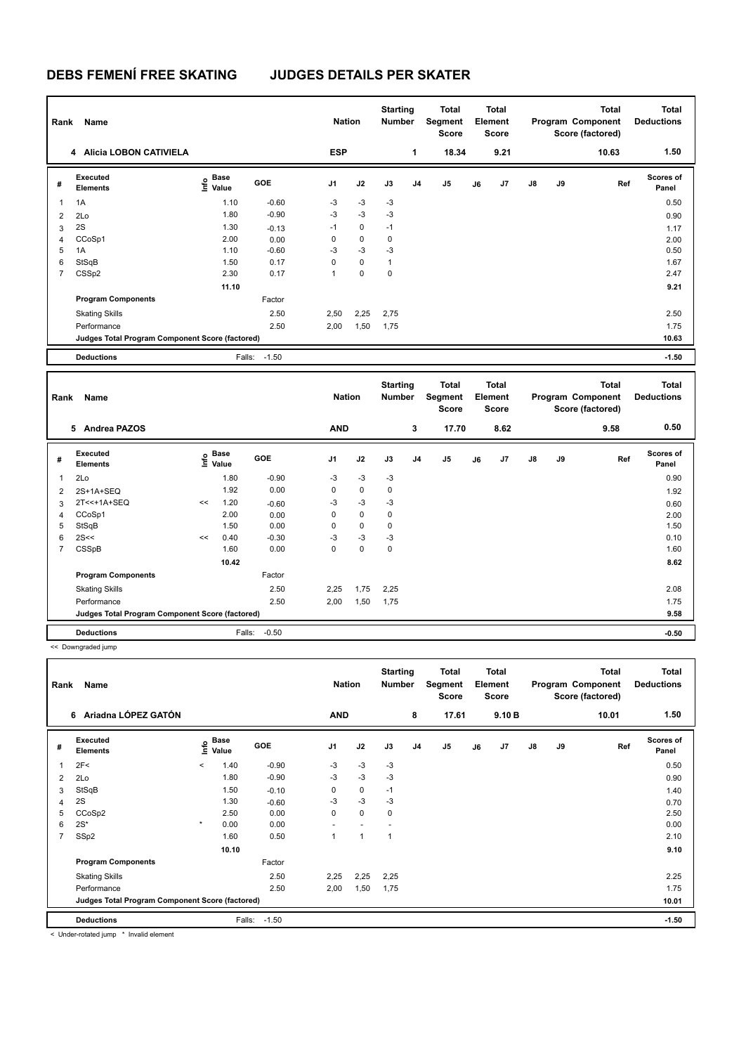## **DEBS FEMENÍ FREE SKATING JUDGES DETAILS PER SKATER**

| Rank           | Name                                            |                           |        |         | <b>Nation</b>  |             | <b>Starting</b><br><b>Number</b> |                | <b>Total</b><br>Segment<br>Score |    | Total<br>Element<br><b>Score</b>        |    |    | <b>Total</b><br>Program Component<br>Score (factored) | <b>Total</b><br><b>Deductions</b> |
|----------------|-------------------------------------------------|---------------------------|--------|---------|----------------|-------------|----------------------------------|----------------|----------------------------------|----|-----------------------------------------|----|----|-------------------------------------------------------|-----------------------------------|
|                | 4 Alicia LOBON CATIVIELA                        |                           |        |         | <b>ESP</b>     |             |                                  | 1              | 18.34                            |    | 9.21                                    |    |    | 10.63                                                 | 1.50                              |
| #              | Executed<br><b>Elements</b>                     | Base<br>e Base<br>⊆ Value | GOE    |         | J <sub>1</sub> | J2          | J3                               | J <sub>4</sub> | J5                               | J6 | J7                                      | J8 | J9 | Ref                                                   | Scores of<br>Panel                |
| $\mathbf{1}$   | 1A                                              |                           | 1.10   | $-0.60$ | $-3$           | $-3$        | $-3$                             |                |                                  |    |                                         |    |    |                                                       | 0.50                              |
| $\overline{2}$ | 2Lo                                             |                           | 1.80   | $-0.90$ | $-3$           | $-3$        | $-3$                             |                |                                  |    |                                         |    |    |                                                       | 0.90                              |
| 3              | 2S                                              |                           | 1.30   | $-0.13$ | $-1$           | 0           | $-1$                             |                |                                  |    |                                         |    |    |                                                       | 1.17                              |
| $\overline{4}$ | CCoSp1                                          |                           | 2.00   | 0.00    | $\mathsf 0$    | $\mathbf 0$ | $\mathbf 0$                      |                |                                  |    |                                         |    |    |                                                       | 2.00                              |
| 5              | 1A                                              |                           | 1.10   | $-0.60$ | -3             | $-3$        | $-3$                             |                |                                  |    |                                         |    |    |                                                       | 0.50                              |
| 6              | StSqB                                           |                           | 1.50   | 0.17    | $\mathbf 0$    | $\pmb{0}$   | $\mathbf{1}$                     |                |                                  |    |                                         |    |    |                                                       | 1.67                              |
| $\overline{7}$ | CSSp2                                           |                           | 2.30   | 0.17    | $\mathbf{1}$   | $\mathbf 0$ | $\mathbf 0$                      |                |                                  |    |                                         |    |    |                                                       | 2.47                              |
|                |                                                 |                           | 11.10  |         |                |             |                                  |                |                                  |    |                                         |    |    |                                                       | 9.21                              |
|                | <b>Program Components</b>                       |                           |        | Factor  |                |             |                                  |                |                                  |    |                                         |    |    |                                                       |                                   |
|                | <b>Skating Skills</b>                           |                           |        | 2.50    | 2,50           | 2,25        | 2,75                             |                |                                  |    |                                         |    |    |                                                       | 2.50                              |
|                | Performance                                     |                           |        | 2.50    | 2,00           | 1,50        | 1,75                             |                |                                  |    |                                         |    |    |                                                       | 1.75                              |
|                | Judges Total Program Component Score (factored) |                           |        |         |                |             |                                  |                |                                  |    |                                         |    |    |                                                       | 10.63                             |
|                | <b>Deductions</b>                               |                           | Falls: | $-1.50$ |                |             |                                  |                |                                  |    |                                         |    |    |                                                       | $-1.50$                           |
|                |                                                 |                           |        |         |                |             |                                  |                |                                  |    |                                         |    |    |                                                       |                                   |
|                |                                                 |                           |        |         |                |             |                                  |                |                                  |    |                                         |    |    |                                                       |                                   |
| Rank           | Name                                            |                           |        |         | <b>Nation</b>  |             | <b>Starting</b><br>Number        |                | <b>Total</b><br>Segment<br>Score |    | Total<br><b>Element</b><br><b>Score</b> |    |    | <b>Total</b><br>Program Component<br>Score (factored) | <b>Total</b><br><b>Deductions</b> |
|                | 5 Andrea PAZOS                                  |                           |        |         | <b>AND</b>     |             |                                  | 3              | 17.70                            |    | 8.62                                    |    |    | 9.58                                                  | 0.50                              |
| #              | Executed                                        | Base                      | GOE    |         | J <sub>1</sub> | J2          | J3                               | J <sub>4</sub> | J <sub>5</sub>                   | J6 | J7                                      | J8 | J9 | Ref                                                   | Scores of                         |
|                | <b>Elements</b>                                 | e Base<br>⊆ Value         |        |         |                |             |                                  |                |                                  |    |                                         |    |    |                                                       | Panel                             |
| $\mathbf{1}$   | 2Lo                                             |                           | 1.80   | $-0.90$ | $-3$           | $-3$        | $-3$                             |                |                                  |    |                                         |    |    |                                                       | 0.90                              |
| $\overline{2}$ | 2S+1A+SEQ                                       |                           | 1.92   | 0.00    | 0              | 0           | 0                                |                |                                  |    |                                         |    |    |                                                       | 1.92                              |
| 3              | 2T<<+1A+SEQ                                     | <<                        | 1.20   | $-0.60$ | $-3$           | $-3$        | $-3$                             |                |                                  |    |                                         |    |    |                                                       | 0.60                              |
| $\overline{4}$ | CCoSp1                                          |                           | 2.00   | 0.00    | $\mathbf 0$    | $\mathbf 0$ | $\mathbf 0$                      |                |                                  |    |                                         |    |    |                                                       | 2.00                              |
| 5              | StSqB                                           |                           | 1.50   | 0.00    | $\mathsf 0$    | 0           | 0                                |                |                                  |    |                                         |    |    |                                                       | 1.50                              |
| $\,6$          | 2S<<                                            | <<                        | 0.40   | $-0.30$ | -3             | $-3$        | $-3$                             |                |                                  |    |                                         |    |    |                                                       | 0.10                              |
| $\overline{7}$ | CSSpB                                           |                           | 1.60   | 0.00    | $\Omega$       | $\mathbf 0$ | $\mathbf 0$                      |                |                                  |    |                                         |    |    |                                                       | 1.60                              |
|                |                                                 |                           | 10.42  |         |                |             |                                  |                |                                  |    |                                         |    |    |                                                       | 8.62                              |
|                | <b>Program Components</b>                       |                           |        | Factor  |                |             |                                  |                |                                  |    |                                         |    |    |                                                       |                                   |
|                | <b>Skating Skills</b>                           |                           |        | 2.50    | 2,25           | 1,75        | 2,25                             |                |                                  |    |                                         |    |    |                                                       | 2.08                              |
|                | Performance                                     |                           |        | 2.50    | 2,00           | 1,50        | 1,75                             |                |                                  |    |                                         |    |    |                                                       | 1.75                              |
|                | Judges Total Program Component Score (factored) |                           |        |         |                |             |                                  |                |                                  |    |                                         |    |    |                                                       | 9.58                              |

<< Downgraded jump

| Rank | Name                                            |         |                       |            | <b>Nation</b>  |      | <b>Starting</b><br><b>Number</b> |                | Total<br>Segment<br><b>Score</b> |    | <b>Total</b><br>Element<br><b>Score</b> |               |    | <b>Total</b><br>Program Component<br>Score (factored) | <b>Total</b><br><b>Deductions</b> |
|------|-------------------------------------------------|---------|-----------------------|------------|----------------|------|----------------------------------|----------------|----------------------------------|----|-----------------------------------------|---------------|----|-------------------------------------------------------|-----------------------------------|
|      | Ariadna LÓPEZ GATÓN<br>6                        |         |                       |            | <b>AND</b>     |      |                                  | 8              | 17.61                            |    | 9.10 B                                  |               |    | 10.01                                                 | 1.50                              |
| #    | Executed<br><b>Elements</b>                     |         | $\sum_{i=1}^{n}$ Base | <b>GOE</b> | J <sub>1</sub> | J2   | J3                               | J <sub>4</sub> | J5                               | J6 | J <sub>7</sub>                          | $\mathsf{J}8$ | J9 | Ref                                                   | <b>Scores of</b><br>Panel         |
| 1    | 2F<                                             | $\prec$ | 1.40                  | $-0.90$    | $-3$           | $-3$ | $-3$                             |                |                                  |    |                                         |               |    |                                                       | 0.50                              |
| 2    | 2Lo                                             |         | 1.80                  | $-0.90$    | $-3$           | $-3$ | $-3$                             |                |                                  |    |                                         |               |    |                                                       | 0.90                              |
| 3    | StSqB                                           |         | 1.50                  | $-0.10$    | 0              | 0    | $-1$                             |                |                                  |    |                                         |               |    |                                                       | 1.40                              |
| 4    | 2S                                              |         | 1.30                  | $-0.60$    | $-3$           | $-3$ | $-3$                             |                |                                  |    |                                         |               |    |                                                       | 0.70                              |
| 5    | CCoSp2                                          |         | 2.50                  | 0.00       | $\mathbf 0$    | 0    | $\mathbf 0$                      |                |                                  |    |                                         |               |    |                                                       | 2.50                              |
| 6    | $2S^*$                                          | $\star$ | 0.00                  | 0.00       |                |      |                                  |                |                                  |    |                                         |               |    |                                                       | 0.00                              |
| 7    | SSp2                                            |         | 1.60                  | 0.50       | 1              | 1    | 1                                |                |                                  |    |                                         |               |    |                                                       | 2.10                              |
|      |                                                 |         | 10.10                 |            |                |      |                                  |                |                                  |    |                                         |               |    |                                                       | 9.10                              |
|      | <b>Program Components</b>                       |         |                       | Factor     |                |      |                                  |                |                                  |    |                                         |               |    |                                                       |                                   |
|      | <b>Skating Skills</b>                           |         |                       | 2.50       | 2,25           | 2,25 | 2,25                             |                |                                  |    |                                         |               |    |                                                       | 2.25                              |
|      | Performance                                     |         |                       | 2.50       | 2,00           | 1,50 | 1,75                             |                |                                  |    |                                         |               |    |                                                       | 1.75                              |
|      | Judges Total Program Component Score (factored) |         |                       |            |                |      |                                  |                |                                  |    |                                         |               |    |                                                       | 10.01                             |
|      | <b>Deductions</b>                               |         | Falls:                | $-1.50$    |                |      |                                  |                |                                  |    |                                         |               |    |                                                       | $-1.50$                           |

< Under-rotated jump \* Invalid element